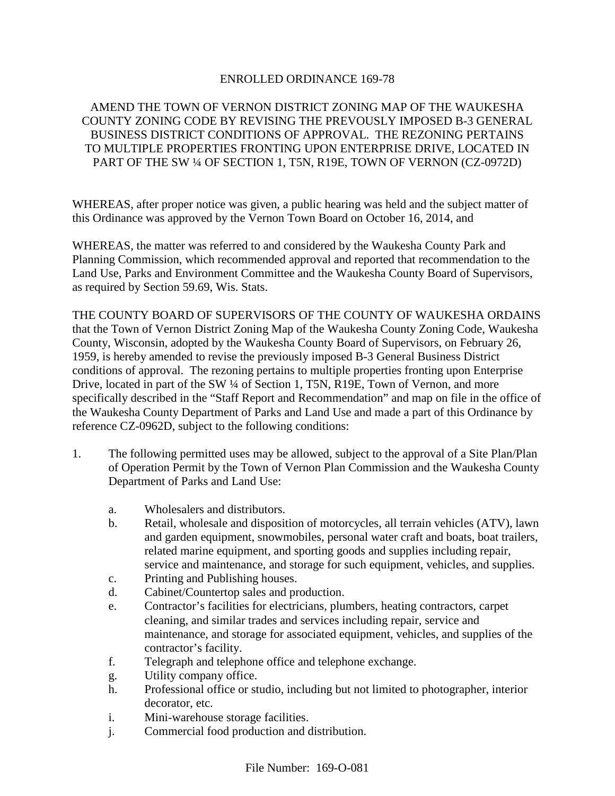## ENROLLED ORDINANCE 169-78

# AMEND THE TOWN OF VERNON DISTRICT ZONING MAP OF THE WAUKESHA COUNTY ZONING CODE BY REVISING THE PREVOUSLY IMPOSED B-3 GENERAL BUSINESS DISTRICT CONDITIONS OF APPROVAL. THE REZONING PERTAINS TO MULTIPLE PROPERTIES FRONTING UPON ENTERPRISE DRIVE, LOCATED IN PART OF THE SW ¼ OF SECTION 1, T5N, R19E, TOWN OF VERNON (CZ-0972D)

WHEREAS, after proper notice was given, a public hearing was held and the subject matter of this Ordinance was approved by the Vernon Town Board on October 16, 2014, and

WHEREAS, the matter was referred to and considered by the Waukesha County Park and Planning Commission, which recommended approval and reported that recommendation to the Land Use, Parks and Environment Committee and the Waukesha County Board of Supervisors, as required by Section 59.69, Wis. Stats.

THE COUNTY BOARD OF SUPERVISORS OF THE COUNTY OF WAUKESHA ORDAINS that the Town of Vernon District Zoning Map of the Waukesha County Zoning Code, Waukesha County, Wisconsin, adopted by the Waukesha County Board of Supervisors, on February 26, 1959, is hereby amended to revise the previously imposed B-3 General Business District conditions of approval. The rezoning pertains to multiple properties fronting upon Enterprise Drive, located in part of the SW ¼ of Section 1, T5N, R19E, Town of Vernon, and more specifically described in the "Staff Report and Recommendation" and map on file in the office of the Waukesha County Department of Parks and Land Use and made a part of this Ordinance by reference CZ-0962D, subject to the following conditions:

- 1. The following permitted uses may be allowed, subject to the approval of a Site Plan/Plan of Operation Permit by the Town of Vernon Plan Commission and the Waukesha County Department of Parks and Land Use:
	- a. Wholesalers and distributors.
	- b. Retail, wholesale and disposition of motorcycles, all terrain vehicles (ATV), lawn and garden equipment, snowmobiles, personal water craft and boats, boat trailers, related marine equipment, and sporting goods and supplies including repair, service and maintenance, and storage for such equipment, vehicles, and supplies.
	- c. Printing and Publishing houses.
	- d. Cabinet/Countertop sales and production.
	- e. Contractor's facilities for electricians, plumbers, heating contractors, carpet cleaning, and similar trades and services including repair, service and maintenance, and storage for associated equipment, vehicles, and supplies of the contractor's facility.
	- f. Telegraph and telephone office and telephone exchange.
	- g. Utility company office.
	- h. Professional office or studio, including but not limited to photographer, interior decorator, etc.
	- i. Mini-warehouse storage facilities.
	- j. Commercial food production and distribution.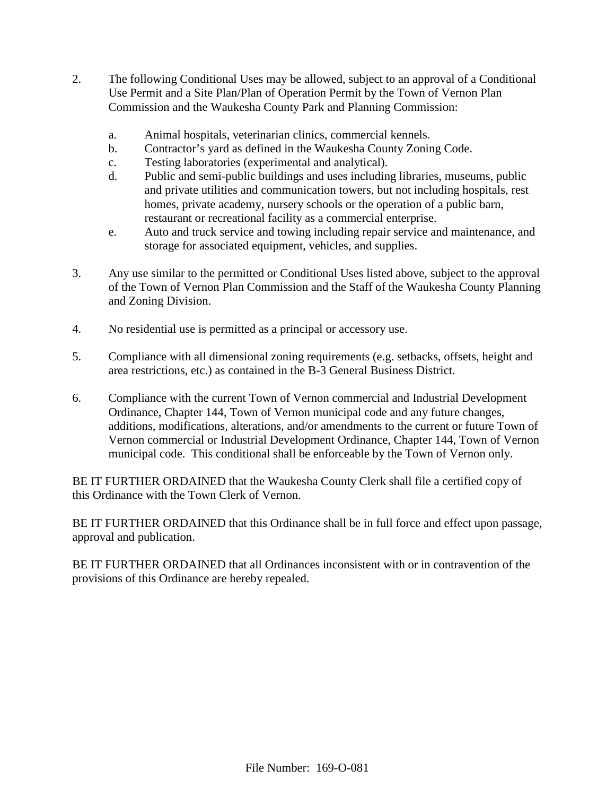- 2. The following Conditional Uses may be allowed, subject to an approval of a Conditional Use Permit and a Site Plan/Plan of Operation Permit by the Town of Vernon Plan Commission and the Waukesha County Park and Planning Commission:
	- a. Animal hospitals, veterinarian clinics, commercial kennels.
	- b. Contractor's yard as defined in the Waukesha County Zoning Code.
	- c. Testing laboratories (experimental and analytical).
	- d. Public and semi-public buildings and uses including libraries, museums, public and private utilities and communication towers, but not including hospitals, rest homes, private academy, nursery schools or the operation of a public barn, restaurant or recreational facility as a commercial enterprise.
	- e. Auto and truck service and towing including repair service and maintenance, and storage for associated equipment, vehicles, and supplies.
- 3. Any use similar to the permitted or Conditional Uses listed above, subject to the approval of the Town of Vernon Plan Commission and the Staff of the Waukesha County Planning and Zoning Division.
- 4. No residential use is permitted as a principal or accessory use.
- 5. Compliance with all dimensional zoning requirements (e.g. setbacks, offsets, height and area restrictions, etc.) as contained in the B-3 General Business District.
- 6. Compliance with the current Town of Vernon commercial and Industrial Development Ordinance, Chapter 144, Town of Vernon municipal code and any future changes, additions, modifications, alterations, and/or amendments to the current or future Town of Vernon commercial or Industrial Development Ordinance, Chapter 144, Town of Vernon municipal code. This conditional shall be enforceable by the Town of Vernon only.

BE IT FURTHER ORDAINED that the Waukesha County Clerk shall file a certified copy of this Ordinance with the Town Clerk of Vernon.

BE IT FURTHER ORDAINED that this Ordinance shall be in full force and effect upon passage, approval and publication.

BE IT FURTHER ORDAINED that all Ordinances inconsistent with or in contravention of the provisions of this Ordinance are hereby repealed.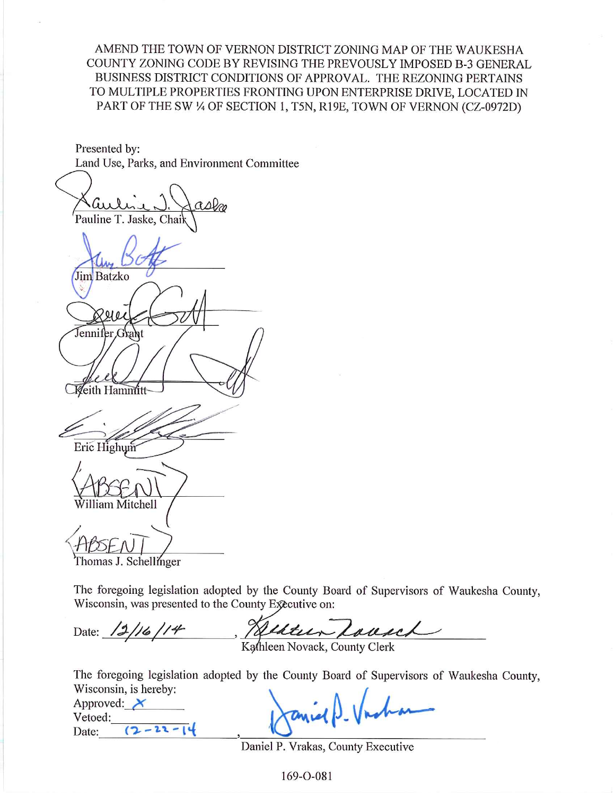AMEND THE TOWN OF VERNON DISTRICT ZONING MAP OF THE WAUKESHA COUNTY ZONING CODE BY REVISING THE PREVOUSLY IMPOSED B-3 GENERAL BUSINESS DISTRICT CONDITIONS OF APPROVAL. THE REZONING PERTAINS TO MULTIPLE PROPERTIES FRONTING UPON ENTERPRISE DRIVE, LOCATED IN PART OF THE SW 1/4 OF SECTION 1, T5N, R19E, TOWN OF VERNON (CZ-0972D)

Presented by: Land Use, Parks, and Environment Committee

aslo Pauline T. Jaske, Chai Jim Batzko Jennifer Grant **Keith Hammitt** Eric Highum lliam Mitchell

Thomas J. Schellinger

The foregoing legislation adopted by the County Board of Supervisors of Waukesha County, Wisconsin, was presented to the County Executive on:

Helter Lousel Date:  $\frac{12}{16}$ /14

The foregoing legislation adopted by the County Board of Supervisors of Waukesha County, Wisconsin, is hereby:

Approved:  $\chi$ Vetoed:  $(2 - 22 - 14)$ Date:

Daniel P. Vrakas, County Executive

169-O-081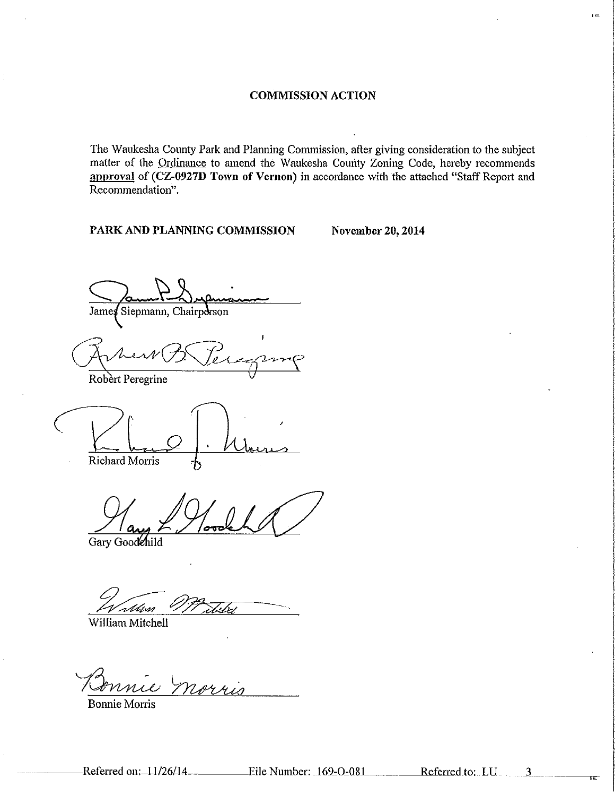The Waukesha County Park and Planning Commission, after giving consideration to the subject matter of the Ordinance to amend the Waukesha County Zoning Code, hereby recommends approval of (CZ-0927D Town of Vernon) in accordance with the attached "Staff Report and Recommendation".

PARK AND PLANNING COMMISSION

**November 20, 2014** 

Siepmann, Chairperson James

Robert Peregrine

Richard Morris

Gary Goodehild

.<br>Mw

William Mitchell

NAYMI

**Bonnie Morris** 

Referred to: LU

 $\overline{3}$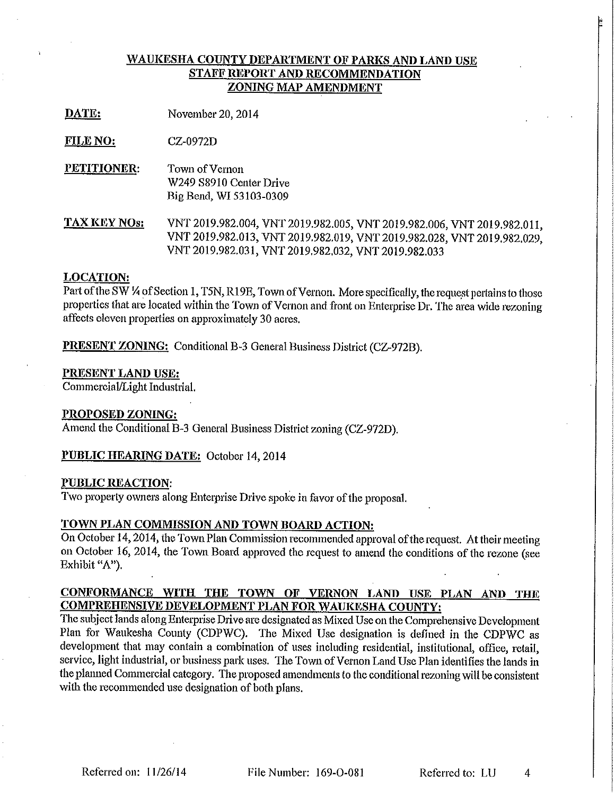## WAUKESHA COUNTY DEPARTMENT OF PARKS AND LAND USE STAFF REPORT AND RECOMMENDATION ZONING MAP AMENDMENT

DATE: November 20, 2014

**FILE NO:** CZ-0972D

PETITIONER: Town of Vernon W249 S8910 Center Drive Big Bend, WI 53103-0309

**TAX KEY NOs:** VNT 2019.982.004, VNT 2019.982.005, VNT 2019.982.006, VNT 2019.982.011, VNT 2019.982.013, VNT 2019.982.019, VNT 2019.982.028, VNT 2019.982.029, VNT 2019.982.031, VNT 2019.982.032, VNT 2019.982.033

## **LOCATION:**

Part of the SW 1/4 of Section 1, T5N, R19E, Town of Vernon. More specifically, the request pertains to those properties that are located within the Town of Vernon and front on Enterprise Dr. The area wide rezoning affects eleven properties on approximately 30 acres.

**PRESENT ZONING:** Conditional B-3 General Business District (CZ-972B).

## PRESENT LAND USE:

Commercial/Light Industrial.

## PROPOSED ZONING:

Amend the Conditional B-3 General Business District zoning (CZ-972D).

**PUBLIC HEARING DATE:** October 14, 2014

## **PUBLIC REACTION:**

Two property owners along Enterprise Drive spoke in favor of the proposal.

# TOWN PLAN COMMISSION AND TOWN BOARD ACTION:

On October 14, 2014, the Town Plan Commission recommended approval of the request. At their meeting on October 16, 2014, the Town Board approved the request to amend the conditions of the rezone (see Exhibit "A").

## CONFORMANCE WITH THE TOWN OF VERNON LAND USE PLAN AND THE **COMPREHENSIVE DEVELOPMENT PLAN FOR WAUKESHA COUNTY:**

The subject lands along Enterprise Drive are designated as Mixed Use on the Comprehensive Development Plan for Waukesha County (CDPWC). The Mixed Use designation is defined in the CDPWC as development that may contain a combination of uses including residential, institutional, office, retail, service, light industrial, or business park uses. The Town of Vernon Land Use Plan identifies the lands in the planned Commercial category. The proposed amendments to the conditional rezoning will be consistent with the recommended use designation of both plans.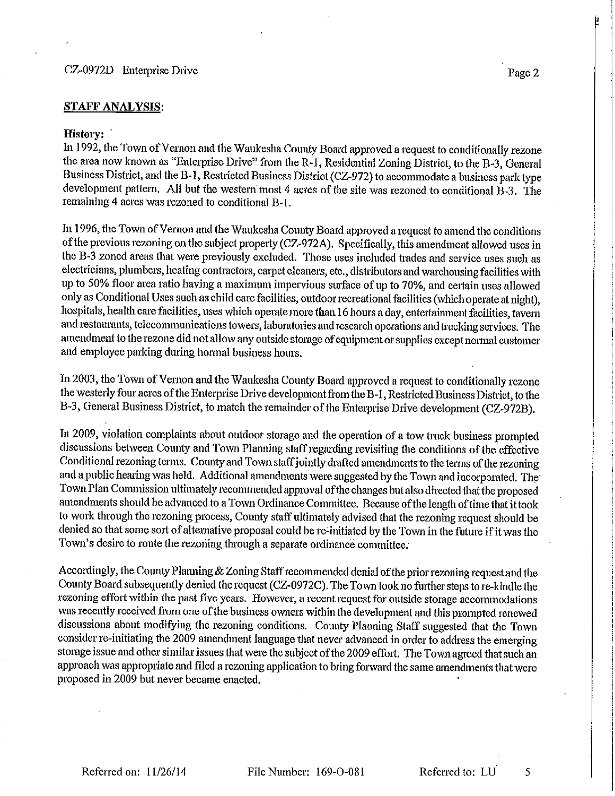## **STAFF ANALYSIS:**

#### History:

In 1992, the Town of Vernon and the Waukesha County Board approved a request to conditionally rezone the area now known as "Enterprise Drive" from the R-1, Residential Zoning District, to the B-3, General Business District, and the B-1, Restricted Business District (CZ-972) to accommodate a business park type development pattern. All but the western most 4 acres of the site was rezoned to conditional B-3. The remaining 4 acres was rezoned to conditional B-1.

In 1996, the Town of Vernon and the Waukesha County Board approved a request to amend the conditions of the previous rezoning on the subject property (CZ-972A). Specifically, this amendment allowed uses in the B-3 zoned areas that were previously excluded. Those uses included trades and service uses such as electricians, plumbers, heating contractors, carpet cleaners, etc., distributors and warehousing facilities with up to 50% floor area ratio having a maximum impervious surface of up to 70%, and certain uses allowed only as Conditional Uses such as child care facilities, outdoor recreational facilities (which operate at night), hospitals, health care facilities, uses which operate more than 16 hours a day, entertainment facilities, tavern and restaurants, telecommunications towers, laboratories and research operations and trucking services. The amendment to the rezone did not allow any outside storage of equipment or supplies except normal customer and employee parking during normal business hours.

In 2003, the Town of Vernon and the Waukesha County Board approved a request to conditionally rezone the westerly four acres of the Enterprise Drive development from the B-1, Restricted Business District, to the B-3, General Business District, to match the remainder of the Enterprise Drive development (CZ-972B).

In 2009, violation complaints about outdoor storage and the operation of a tow truck business prompted discussions between County and Town Planning staff regarding revisiting the conditions of the effective Conditional rezoning terms. County and Town staff jointly drafted amendments to the terms of the rezoning and a public hearing was held. Additional amendments were suggested by the Town and incorporated. The Town Plan Commission ultimately recommended approval of the changes but also directed that the proposed amendments should be advanced to a Town Ordinance Committee. Because of the length of time that it took to work through the rezoning process, County staff ultimately advised that the rezoning request should be denied so that some sort of alternative proposal could be re-initiated by the Town in the future if it was the Town's desire to route the rezoning through a separate ordinance committee.

Accordingly, the County Planning & Zoning Staff recommended denial of the prior rezoning request and the County Board subsequently denied the request (CZ-0972C). The Town took no further steps to re-kindle the rezoning effort within the past five years. However, a recent request for outside storage accommodations was recently received from one of the business owners within the development and this prompted renewed discussions about modifying the rezoning conditions. County Planning Staff suggested that the Town consider re-initiating the 2009 amendment language that never advanced in order to address the emerging storage issue and other similar issues that were the subject of the 2009 effort. The Town agreed that such an approach was appropriate and filed a rezoning application to bring forward the same amendments that were proposed in 2009 but never became enacted.

Referred to: LU

5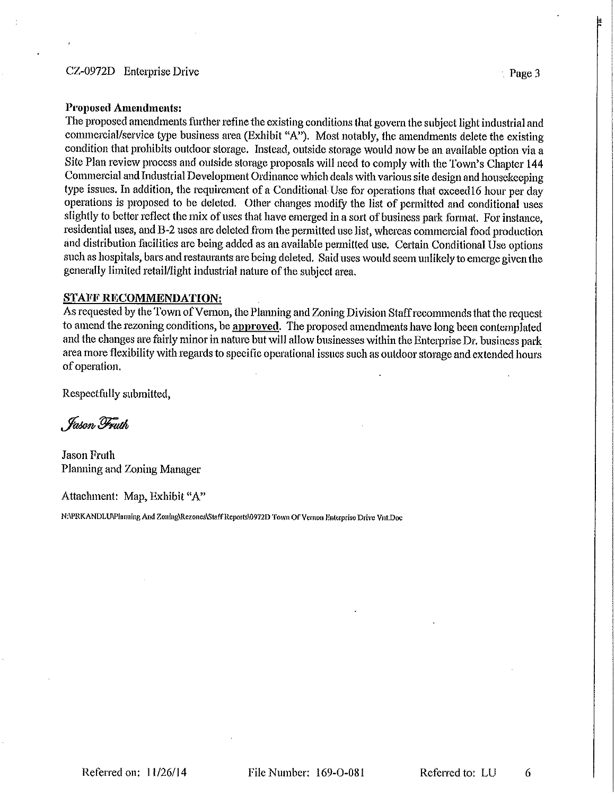#### CZ-0972D Enterprise Drive

#### **Proposed Amendments:**

The proposed amendments further refine the existing conditions that govern the subject light industrial and commercial/service type business area (Exhibit "A"). Most notably, the amendments delete the existing condition that prohibits outdoor storage. Instead, outside storage would now be an available option via a Site Plan review process and outside storage proposals will need to comply with the Town's Chapter 144 Commercial and Industrial Development Ordinance which deals with various site design and housekeeping type issues. In addition, the requirement of a Conditional Use for operations that exceed 16 hour per day operations is proposed to be deleted. Other changes modify the list of permitted and conditional uses slightly to better reflect the mix of uses that have emerged in a sort of business park format. For instance, residential uses, and B-2 uses are deleted from the permitted use list, whereas commercial food production and distribution facilities are being added as an available permitted use. Certain Conditional Use options such as hospitals, bars and restaurants are being deleted. Said uses would seem unlikely to emerge given the generally limited retail/light industrial nature of the subject area.

#### **STAFF RECOMMENDATION:**

As requested by the Town of Vernon, the Planning and Zoning Division Staff recommends that the request to amend the rezoning conditions, be approved. The proposed amendments have long been contemplated and the changes are fairly minor in nature but will allow businesses within the Enterprise Dr. business park area more flexibility with regards to specific operational issues such as outdoor storage and extended hours of operation.

Respectfully submitted,

, Fason Fruth

**Jason Fruth** Planning and Zoning Manager

Attachment: Map, Exhibit "A"

N:\PRKANDLU\Planning And Zoning\Rezones\Staff Reports\0972D Town Of Vernon Enterprise Drive Vnt.Doc

 $\therefore$  Page 3

6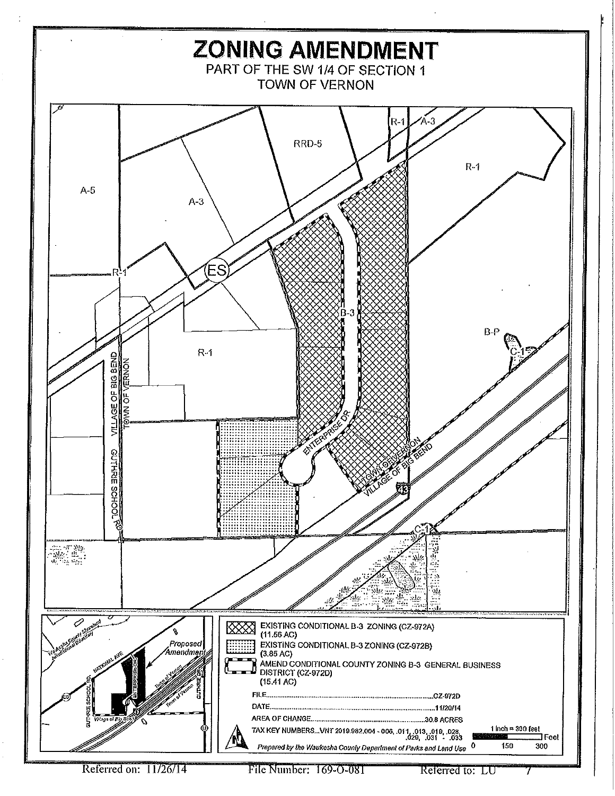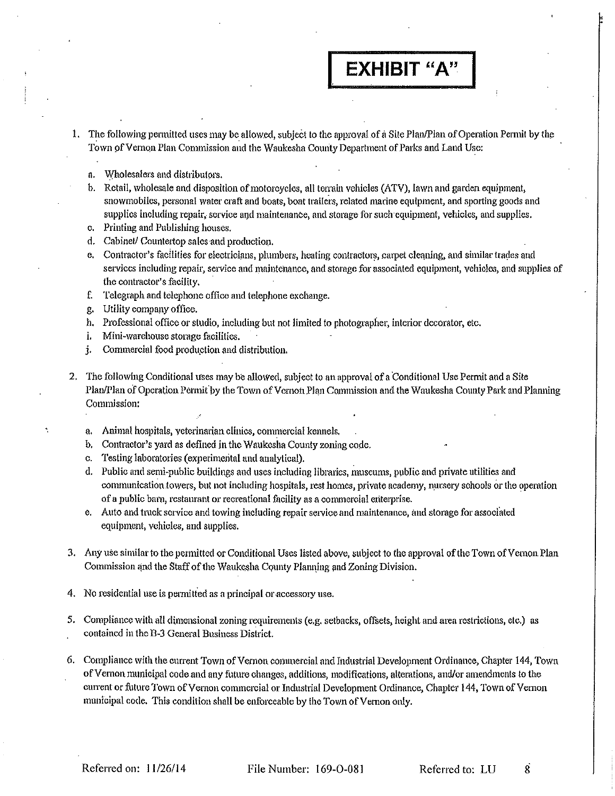# **EXHIBIT "A"**

- 1. The following permitted uses may be allowed, subject to the approval of a Site Plan/Plan of Operation Permit by the Town of Vernon Plan Commission and the Waukesha County Department of Parks and Land Use:
	- a. Wholesalers and distributors.
	- b. Retail, wholesale and disposition of motorcycles, all terrain vehicles (ATV), lawn and garden equipment, snowmobiles, personal water craft and boats, boat trailers, related marine equipment, and sporting goods and supplies including repair, service and maintenance, and storage for such equipment, vehicles, and supplies.
	- c. Printing and Publishing houses.
	- d. Cabinet/Countertop sales and production.
	- e. Contractor's facilities for electricians, plumbers, heating contractors, carpet cleaning, and similar trades and services including repair, service and maintenance, and storage for associated equipment, vehicles, and supplies of the contractor's facility,
	- Telegraph and telephone office and telephone exchange. f.
	- g. Utility company office.
	- h. Professional office or studio, including but not limited to photographer, interior decorator, etc.
	- i. Mini-warehouse storage facilities.
	- Commercial food production and distribution. j.
- 2. The following Conditional uses may be allowed, subject to an approval of a Conditional Use Permit and a Site Plan/Plan of Operation Permit by the Town of Vernon Plan Commission and the Waukesha County Park and Planning Commission:
	- a. Animal hospitals, veterinarian clinics, commercial kennels.
	- b. Contractor's yard as defined in the Waukesha County zoning code.
	- c. Testing laboratories (experimental and analytical).
	- d. Public and semi-public buildings and uses including libraries, museums, public and private utilities and communication towers, but not including hospitals, rest homes, private academy, nursery schools or the operation of a public barn, restaurant or recreational facility as a commercial enterprise.
	- e. Auto and truck service and towing including repair service and maintenance, and storage for associated equipment, vehicles, and supplies.
- 3. Any use similar to the permitted or Conditional Uses listed above, subject to the approval of the Town of Vernon Plan Commission and the Staff of the Waukesha County Planning and Zoning Division.
- 4. No residential use is permitted as a principal or accessory use.
- 5. Compliance with all dimensional zoning requirements (e.g. setbacks, offsets, height and area restrictions, etc.) as contained in the B-3 General Business District.
- 6. Compliance with the current Town of Vernon commercial and Industrial Development Ordinance, Chapter 144, Town of Vernon municipal code and any future changes, additions, modifications, alterations, and/or amendments to the current or future Town of Vernon commercial or Industrial Development Ordinance, Chapter 144, Town of Vernon municipal code. This condition shall be enforceable by the Town of Vernon only.